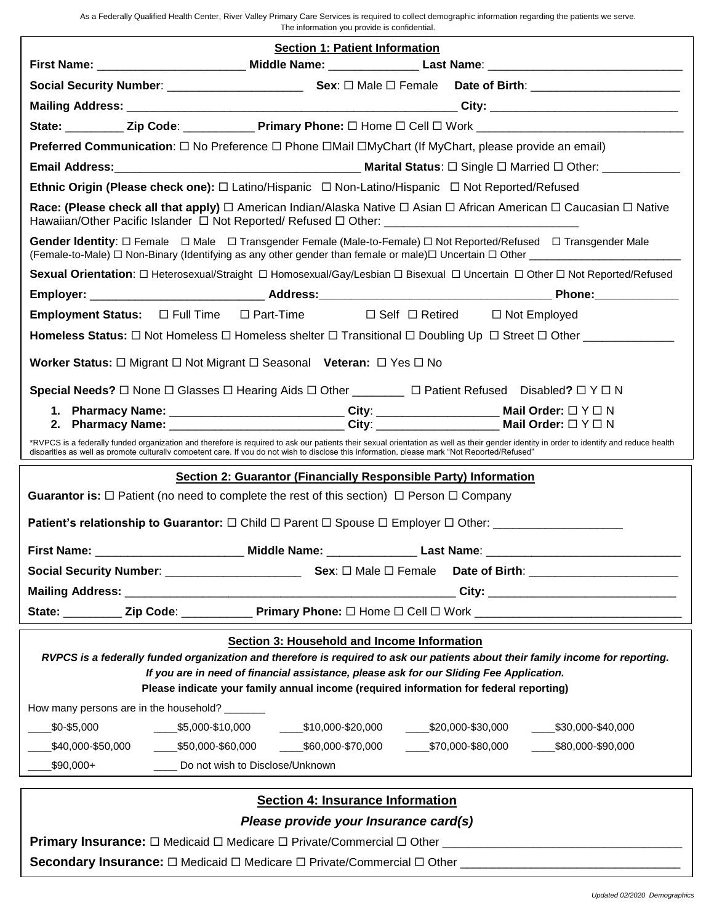As a Federally Qualified Health Center, River Valley Primary Care Services is required to collect demographic information regarding the patients we serve. The information you provide is confidential.

|                                                                                                                                                                                                                                                                                                                      | <b>Section 1: Patient Information</b>                                                                                                                                                                                                                                                                                                     |  |  |  |  |
|----------------------------------------------------------------------------------------------------------------------------------------------------------------------------------------------------------------------------------------------------------------------------------------------------------------------|-------------------------------------------------------------------------------------------------------------------------------------------------------------------------------------------------------------------------------------------------------------------------------------------------------------------------------------------|--|--|--|--|
|                                                                                                                                                                                                                                                                                                                      |                                                                                                                                                                                                                                                                                                                                           |  |  |  |  |
|                                                                                                                                                                                                                                                                                                                      |                                                                                                                                                                                                                                                                                                                                           |  |  |  |  |
|                                                                                                                                                                                                                                                                                                                      |                                                                                                                                                                                                                                                                                                                                           |  |  |  |  |
|                                                                                                                                                                                                                                                                                                                      | State: __________ Zip Code: _____________ Primary Phone: □ Home □ Cell □ Work ________________________________                                                                                                                                                                                                                            |  |  |  |  |
| Preferred Communication: □ No Preference □ Phone □ Mail □ MyChart (If MyChart, please provide an email)                                                                                                                                                                                                              |                                                                                                                                                                                                                                                                                                                                           |  |  |  |  |
|                                                                                                                                                                                                                                                                                                                      |                                                                                                                                                                                                                                                                                                                                           |  |  |  |  |
| Ethnic Origin (Please check one): $\Box$ Latino/Hispanic $\Box$ Non-Latino/Hispanic $\Box$ Not Reported/Refused                                                                                                                                                                                                      |                                                                                                                                                                                                                                                                                                                                           |  |  |  |  |
| Race: (Please check all that apply) □ American Indian/Alaska Native □ Asian □ African American □ Caucasian □ Native<br>Hawaiian/Other Pacific Islander □ Not Reported/ Refused □ Other: __________________________________                                                                                           |                                                                                                                                                                                                                                                                                                                                           |  |  |  |  |
| Gender Identity: O Female O Male O Transgender Female (Male-to-Female) O Not Reported/Refused O Transgender Male                                                                                                                                                                                                     |                                                                                                                                                                                                                                                                                                                                           |  |  |  |  |
|                                                                                                                                                                                                                                                                                                                      | Sexual Orientation: □ Heterosexual/Straight □ Homosexual/Gay/Lesbian □ Bisexual □ Uncertain □ Other □ Not Reported/Refused                                                                                                                                                                                                                |  |  |  |  |
|                                                                                                                                                                                                                                                                                                                      |                                                                                                                                                                                                                                                                                                                                           |  |  |  |  |
|                                                                                                                                                                                                                                                                                                                      | Employment Status: $\Box$ Full Time $\Box$ Part-Time $\Box$ Self $\Box$ Retired $\Box$ Not Employed                                                                                                                                                                                                                                       |  |  |  |  |
|                                                                                                                                                                                                                                                                                                                      | Homeless Status: □ Not Homeless □ Homeless shelter □ Transitional □ Doubling Up □ Street □ Other ______________                                                                                                                                                                                                                           |  |  |  |  |
| Worker Status: $\Box$ Migrant $\Box$ Not Migrant $\Box$ Seasonal Veteran: $\Box$ Yes $\Box$ No                                                                                                                                                                                                                       |                                                                                                                                                                                                                                                                                                                                           |  |  |  |  |
|                                                                                                                                                                                                                                                                                                                      | Special Needs? $\Box$ None $\Box$ Glasses $\Box$ Hearing Aids $\Box$ Other _________ $\Box$ Patient Refused Disabled? $\Box$ Y $\Box$ N                                                                                                                                                                                                   |  |  |  |  |
|                                                                                                                                                                                                                                                                                                                      |                                                                                                                                                                                                                                                                                                                                           |  |  |  |  |
|                                                                                                                                                                                                                                                                                                                      | *RVPCS is a federally funded organization and therefore is required to ask our patients their sexual orientation as well as their gender identity in order to identify and reduce health<br>disparities as well as promote culturally competent care. If you do not wish to disclose this information, please mark "Not Reported/Refused" |  |  |  |  |
|                                                                                                                                                                                                                                                                                                                      | Section 2: Guarantor (Financially Responsible Party) Information                                                                                                                                                                                                                                                                          |  |  |  |  |
|                                                                                                                                                                                                                                                                                                                      | <b>Guarantor is:</b> $\Box$ Patient (no need to complete the rest of this section) $\Box$ Person $\Box$ Company                                                                                                                                                                                                                           |  |  |  |  |
|                                                                                                                                                                                                                                                                                                                      |                                                                                                                                                                                                                                                                                                                                           |  |  |  |  |
| First Name: _                                                                                                                                                                                                                                                                                                        | ______________________________Middle Name: ____________________Last Name: __________________________                                                                                                                                                                                                                                      |  |  |  |  |
|                                                                                                                                                                                                                                                                                                                      |                                                                                                                                                                                                                                                                                                                                           |  |  |  |  |
|                                                                                                                                                                                                                                                                                                                      |                                                                                                                                                                                                                                                                                                                                           |  |  |  |  |
| State: _________                                                                                                                                                                                                                                                                                                     |                                                                                                                                                                                                                                                                                                                                           |  |  |  |  |
|                                                                                                                                                                                                                                                                                                                      | Section 3: Household and Income Information                                                                                                                                                                                                                                                                                               |  |  |  |  |
| RVPCS is a federally funded organization and therefore is required to ask our patients about their family income for reporting.<br>If you are in need of financial assistance, please ask for our Sliding Fee Application.<br>Please indicate your family annual income (required information for federal reporting) |                                                                                                                                                                                                                                                                                                                                           |  |  |  |  |
| How many persons are in the household?                                                                                                                                                                                                                                                                               |                                                                                                                                                                                                                                                                                                                                           |  |  |  |  |
| \$0-\$5,000                                                                                                                                                                                                                                                                                                          | $\frac{\$5,000 - \$10,000}{\$10,000 - \$10,000 - \$20,000}$<br>$\frac{\$20,000 - \$30,000}{\$}$<br>$\frac{\$30,000 - $40,000}{\$}$                                                                                                                                                                                                        |  |  |  |  |
| \$40,000-\$50,000<br>$\frac{\$50,000-$60,000}$                                                                                                                                                                                                                                                                       | _____\$60,000-\$70,000<br>$-$ \$70,000-\$80,000<br>$-$ \$80,000-\$90,000                                                                                                                                                                                                                                                                  |  |  |  |  |
| .\$90,000+                                                                                                                                                                                                                                                                                                           | Do not wish to Disclose/Unknown                                                                                                                                                                                                                                                                                                           |  |  |  |  |
| <b>Section 4: Insurance Information</b>                                                                                                                                                                                                                                                                              |                                                                                                                                                                                                                                                                                                                                           |  |  |  |  |
| Please provide your Insurance card(s)                                                                                                                                                                                                                                                                                |                                                                                                                                                                                                                                                                                                                                           |  |  |  |  |
|                                                                                                                                                                                                                                                                                                                      |                                                                                                                                                                                                                                                                                                                                           |  |  |  |  |
| Secondary Insurance: □ Medicaid □ Medicare □ Private/Commercial □ Other ___________________________                                                                                                                                                                                                                  |                                                                                                                                                                                                                                                                                                                                           |  |  |  |  |